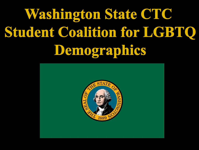# **Washington State CTC Student Coalition for LGBTO** Demographies

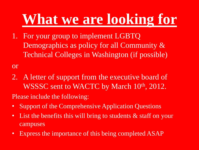## **What we are looking for**

1. For your group to implement LGBTQ Demographics as policy for all Community & Technical Colleges in Washington (if possible)

or

2. A letter of support from the executive board of WSSSC sent to WACTC by March 10<sup>th</sup>, 2012.

Please include the following:

- Support of the Comprehensive Application Questions
- List the benefits this will bring to students & staff on your campuses
- Express the importance of this being completed ASAP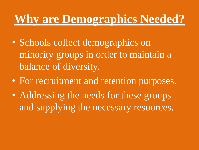#### **Why are Demographics Needed?**

- Schools collect demographics on minority groups in order to maintain a balance of diversity.
- For recruitment and retention purposes.
- Addressing the needs for these groups and supplying the necessary resources.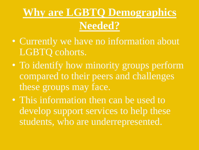### **Why are LGBTQ Demographics Needed?**

- Currently we have no information about LGBTQ cohorts.
- To identify how minority groups perform compared to their peers and challenges these groups may face.
- This information then can be used to develop support services to help these students, who are underrepresented.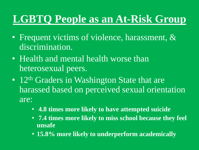#### **LGBTQ People as an At-Risk Group**

- Frequent victims of violence, harassment, & discrimination.
- Health and mental health worse than heterosexual peers.
- 12<sup>th</sup> Graders in Washington State that are harassed based on perceived sexual orientation are:
	- **4.8 times more likely to have attempted suicide**
	- **7.4 times more likely to miss school because they feel unsafe**
	- **15.8% more likely to underperform academically**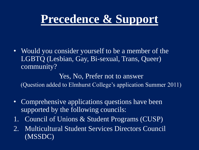### **Precedence & Support**

• Would you consider yourself to be a member of the LGBTQ (Lesbian, Gay, Bi-sexual, Trans, Queer) community?

#### Yes, No, Prefer not to answer

(Question added to Elmhurst College's application Summer 2011)

- Comprehensive applications questions have been supported by the following councils:
- 1. Council of Unions & Student Programs (CUSP)
- 2. Multicultural Student Services Directors Council (MSSDC)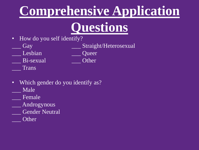### **Comprehensive Application**

### **Questions**

- How do you self identify?
	- \_\_\_ Gay \_\_\_ Straight/Heterosexual
- *\_\_\_* Lesbian *\_\_\_* Queer
- \_\_\_ Bi-sexual *\_\_\_* Other
- \_\_\_ Trans

- Which gender do you identify as? \_\_\_ Male
- \_\_\_ Female
- \_\_\_ Androgynous
- Gender Neutral
- \_\_\_ Other